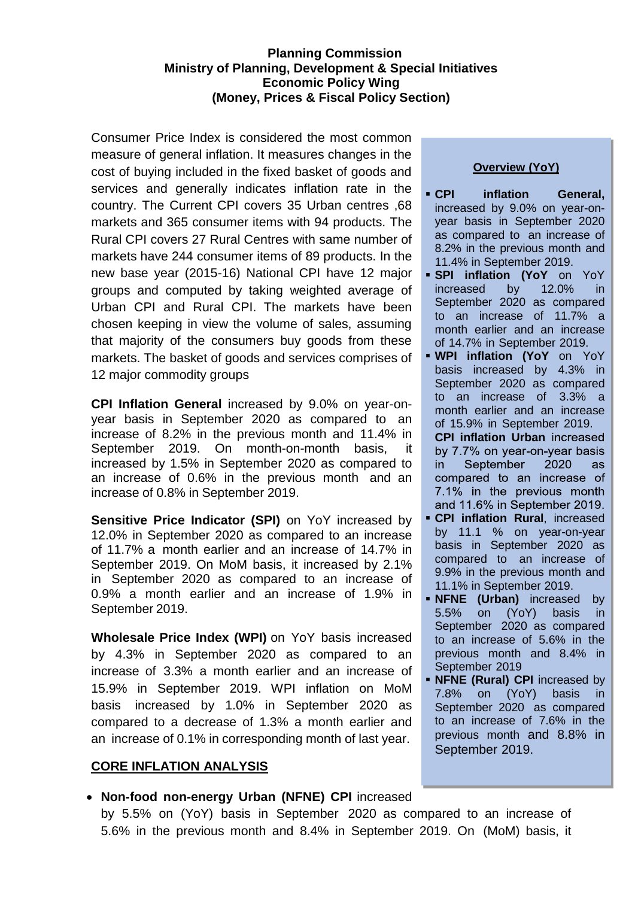## **Planning Commission Ministry of Planning, Development & Special Initiatives Economic Policy Wing (Money, Prices & Fiscal Policy Section)**

Consumer Price Index is considered the most common measure of general inflation. It measures changes in the cost of buying included in the fixed basket of goods and services and generally indicates inflation rate in the country. The Current CPI covers 35 Urban centres ,68 markets and 365 consumer items with 94 products. The Rural CPI covers 27 Rural Centres with same number of markets have 244 consumer items of 89 products. In the new base year (2015-16) National CPI have 12 major groups and computed by taking weighted average of Urban CPI and Rural CPI. The markets have been chosen keeping in view the volume of sales, assuming that majority of the consumers buy goods from these markets. The basket of goods and services comprises of 12 major commodity groups

**CPI Inflation General** increased by 9.0% on year-onyear basis in September 2020 as compared to an increase of 8.2% in the previous month and 11.4% in September 2019. On month-on-month basis, it increased by 1.5% in September 2020 as compared to an increase of 0.6% in the previous month and an increase of 0.8% in September 2019.

**Sensitive Price Indicator (SPI)** on YoY increased by 12.0% in September 2020 as compared to an increase of 11.7% a month earlier and an increase of 14.7% in September 2019. On MoM basis, it increased by 2.1% in September 2020 as compared to an increase of 0.9% a month earlier and an increase of 1.9% in September 2019.

**Wholesale Price Index (WPI)** on YoY basis increased by 4.3% in September 2020 as compared to an increase of 3.3% a month earlier and an increase of 15.9% in September 2019. WPI inflation on MoM basis increased by 1.0% in September 2020 as compared to a decrease of 1.3% a month earlier and an increase of 0.1% in corresponding month of last year.

#### **CORE INFLATION ANALYSIS**

# **Overview (YoY)**

- **CPI inflation General,** increased by 9.0% on year-onyear basis in September 2020 as compared to an increase of 8.2% in the previous month and 11.4% in September 2019.
- **SPI inflation (YoY** on YoY increased by 12.0% in increased by 12.0% in September 2020 as compared to an increase of 11.7% a month earlier and an increase of 14.7% in September 2019.
- **WPI inflation (YoY** on YoY basis increased by 4.3% in September 2020 as compared to an increase of 3.3% a month earlier and an increase of 15.9% in September 2019.
	- **CPI inflation Urban** by 7.7% on year-on-year basis in. September 2020 **as** compared to an increase of 7.1% in the previous month and 11.6% in September 2019.
- **CPI inflation Rural**, increased by 11.1 % on year-on-year basis in September 2020 as compared to an increase of 9.9% in the previous month and 11.1% in September 2019.
- **NFNE (Urban)** increased by 5.5% on (YoY) basis in September 2020 as compared to an increase of 5.6% in the previous month and 8.4% in September 2019
- **NFNE (Rural) CPI** increased by 7.8% on (YoY) basis in September 2020 as compared to an increase of 7.6% in the previous month and 8.8% in September 2019.
- **Non-food non-energy Urban (NFNE) CPI** increased by 5.5% on (YoY) basis in September 2020 as compared to an increase of 5.6% in the previous month and 8.4% in September 2019. On (MoM) basis, it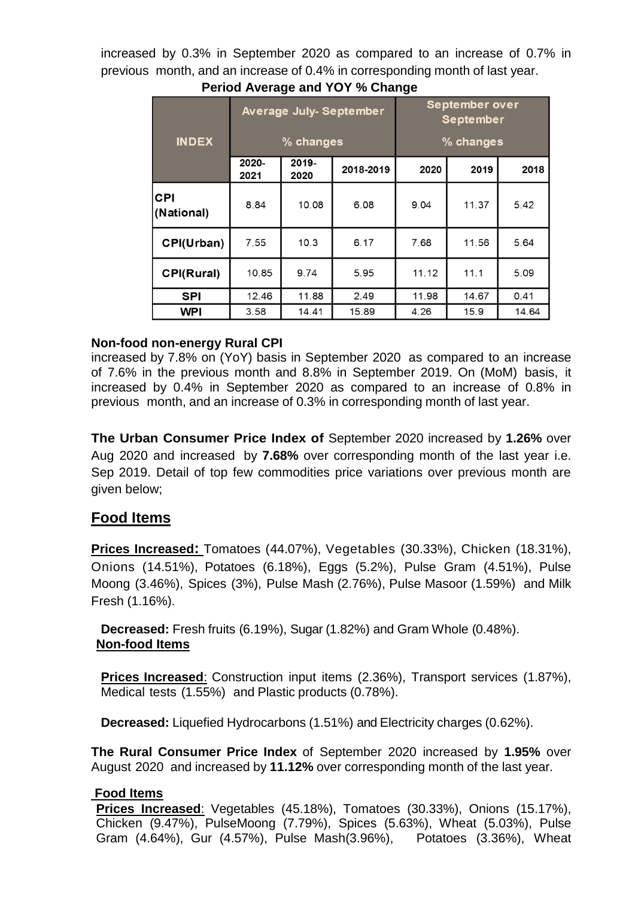increased by 0.3% in September 2020 as compared to an increase of 0.7% in previous month, and an increase of 0.4% in corresponding month of last year.

|                          |               |               | <b>Average July-September</b> | September over<br><b>September</b><br>% changes |       |       |  |  |  |  |
|--------------------------|---------------|---------------|-------------------------------|-------------------------------------------------|-------|-------|--|--|--|--|
| <b>INDEX</b>             |               | % changes     |                               |                                                 |       |       |  |  |  |  |
|                          | 2020-<br>2021 | 2019-<br>2020 | 2018-2019                     | 2020                                            | 2019  | 2018  |  |  |  |  |
| <b>CPI</b><br>(National) | 8.84          | 10.08         | 6.08                          | 9.04                                            | 11.37 | 5.42  |  |  |  |  |
| CPI(Urban)               | 7.55          | 10.3          | 6.17                          | 7.68                                            | 11.56 | 5.64  |  |  |  |  |
| CPI(Rural)               | 10.85<br>9.74 |               | 5.95                          | 11.12                                           | 11.1  | 5.09  |  |  |  |  |
| <b>SPI</b>               | 12.46         | 11.88         | 2.49                          | 11.98                                           | 14.67 | 0.41  |  |  |  |  |
| WPI                      | 3.58          | 14.41         | 15.89                         | 4.26                                            | 15.9  | 14.64 |  |  |  |  |

# **Period Average and YOY % Change**

## **Non-food non-energy Rural CPI**

increased by 7.8% on (YoY) basis in September 2020 as compared to an increase of 7.6% in the previous month and 8.8% in September 2019. On (MoM) basis, it increased by 0.4% in September 2020 as compared to an increase of 0.8% in previous month, and an increase of 0.3% in corresponding month of last year.

**The Urban Consumer Price Index of** September 2020 increased by **1.26%** over Aug 2020 and increased by **7.68%** over corresponding month of the last year i.e. Sep 2019. Detail of top few commodities price variations over previous month are given below;

# **Food Items**

**Prices Increased:** Tomatoes (44.07%), Vegetables (30.33%), Chicken (18.31%), Onions (14.51%), Potatoes (6.18%), Eggs (5.2%), Pulse Gram (4.51%), Pulse Moong (3.46%), Spices (3%), Pulse Mash (2.76%), Pulse Masoor (1.59%) and Milk Fresh (1.16%).

**Decreased:** Fresh fruits (6.19%), Sugar (1.82%) and Gram Whole (0.48%). **Non-food Items**

**Prices Increased**: Construction input items (2.36%), Transport services (1.87%), Medical tests (1.55%) and Plastic products (0.78%).

**Decreased:** Liquefied Hydrocarbons (1.51%) and Electricity charges (0.62%).

**The Rural Consumer Price Index** of September 2020 increased by **1.95%** over August 2020 and increased by **11.12%** over corresponding month of the last year.

# **Food Items**

**Prices Increased**: Vegetables (45.18%), Tomatoes (30.33%), Onions (15.17%), Chicken (9.47%), PulseMoong (7.79%), Spices (5.63%), Wheat (5.03%), Pulse Gram (4.64%), Gur (4.57%), Pulse Mash(3.96%), Potatoes (3.36%), Wheat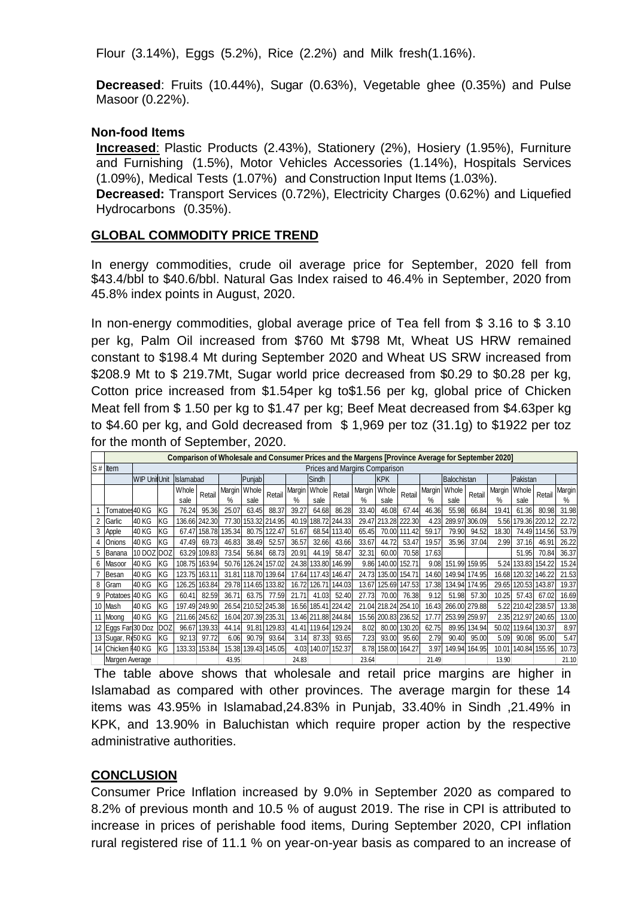Flour (3.14%), Eggs (5.2%), Rice (2.2%) and Milk fresh(1.16%).

**Decreased**: Fruits (10.44%), Sugar (0.63%), Vegetable ghee (0.35%) and Pulse Masoor (0.22%).

### **Non-food Items**

**Increased**: Plastic Products (2.43%), Stationery (2%), Hosiery (1.95%), Furniture and Furnishing (1.5%), Motor Vehicles Accessories (1.14%), Hospitals Services (1.09%), Medical Tests (1.07%) and Construction Input Items (1.03%).

**Decreased:** Transport Services (0.72%), Electricity Charges (0.62%) and Liquefied Hydrocarbons (0.35%).

### **GLOBAL COMMODITY PRICE TREND**

In energy commodities, crude oil average price for September, 2020 fell from \$43.4/bbl to \$40.6/bbl. Natural Gas Index raised to 46.4% in September, 2020 from 45.8% index points in August, 2020.

In non-energy commodities, global average price of Tea fell from \$ 3.16 to \$ 3.10 per kg, Palm Oil increased from \$760 Mt \$798 Mt, Wheat US HRW remained constant to \$198.4 Mt during September 2020 and Wheat US SRW increased from \$208.9 Mt to \$ 219.7Mt, Sugar world price decreased from \$0.29 to \$0.28 per kg, Cotton price increased from \$1.54per kg to\$1.56 per kg, global price of Chicken Meat fell from \$ 1.50 per kg to \$1.47 per kg; Beef Meat decreased from \$4.63per kg to \$4.60 per kg, and Gold decreased from \$ 1,969 per toz (31.1g) to \$1922 per toz for the month of September, 2020.

|   | Comparison of Wholesale and Consumer Prices and the Margens [Province Average for September 2020] |                               |            |                  |               |        |                 |               |       |                     |               |            |              |                     |       |             |               |       |                     |        |       |
|---|---------------------------------------------------------------------------------------------------|-------------------------------|------------|------------------|---------------|--------|-----------------|---------------|-------|---------------------|---------------|------------|--------------|---------------------|-------|-------------|---------------|-------|---------------------|--------|-------|
|   | $S#$ Item                                                                                         | Prices and Margins Comparison |            |                  |               |        |                 |               |       |                     |               |            |              |                     |       |             |               |       |                     |        |       |
|   |                                                                                                   | <b>WIP UnitUnit</b>           |            | <b>Islamabad</b> |               |        | Punjab          |               |       | Sindh               |               | <b>KPK</b> |              |                     |       | Balochistan |               |       | Pakistan            |        |       |
|   |                                                                                                   |                               |            | Whole            | Retail        | Margin | Whole<br>Retail | Margin        | Whole | Retail              | Margin        | Whole      | Retail       | Margin              | Whole | Retail      | Margin        | Whole | Retail              | Margin |       |
|   |                                                                                                   |                               |            | sale             |               | $\%$   | sale            |               | %     | sale                | %             |            | sale         |                     | %     | sale        |               | %     | sale                |        | %     |
|   | Tomatoes 40 KG                                                                                    |                               | KG         | 76.24            | 95.36         | 25.07  | 63.45           | 88.37         | 39.27 | 64.68               | 86.28         | 33.40      | 46.08        | 67.44               | 46.36 | 55.98       | 66.84         | 19.41 | 61.36               | 80.98  | 31.98 |
|   | Garlic                                                                                            | 40 KG                         | KG         |                  | 136.66 242.30 | 77.30  |                 | 153.32 214.95 | 40.19 | 188.72              | 244.33        | 29.47      | 213.28       | 222.30              | 4.23  | 289.97      | 306.09        | 5.56  | 179.36              | 220.12 | 22.72 |
| 3 | Apple                                                                                             | 40 KG                         | KG         | 67.47            | 158.78        | 135.34 | 80.75           | 122.47        | 51.67 |                     | 68.54 113.40  | 65.45      | 70.00        | 111.42              | 59.17 | 79.90       | 94.52         | 18.30 | 74.49               | 114.56 | 53.79 |
|   | Onions                                                                                            | 40 KG                         | KG         | 47.49            | 69.73         | 46.83  | 38.49           | 52.57         | 36.57 | 32.66               | 43.66         | 33.67      | 44.72        | 53.47               | 19.57 | 35.96       | 37.04         | 2.99  | 37.16               | 46.91  | 26.22 |
| 5 | Banana                                                                                            | 10 DOZ DOZ                    |            | 63.29            | 109.83        | 73.54  | 56.84           | 68.73         | 20.91 | 44.19               | 58.47         | 32.31      | 60.00        | 70.58               | 17.63 |             |               |       | 51.95               | 70.84  | 36.37 |
| 6 | Masoor                                                                                            | 40 KG                         | KG         |                  | 108.75 163.94 | 50.76  |                 | 126.24 157.02 | 24.38 |                     | 133.80 146.99 |            | 9.86 140.00  | 152.71              | 9.08  |             | 151.99 159.95 |       | 5.24 133.83 154.22  |        | 15.24 |
|   | Besan                                                                                             | 40 KG                         | KG         |                  | 123.75 163.11 | 31.81  | 118.70          | 139.64        |       | 17.64 117.43 146.47 |               |            | 24.73 135.00 | 154.71              | 14.60 |             | 149.94 174.95 | 16.68 | 120.32              | 146.22 | 21.53 |
|   | Gram                                                                                              | 40 KG                         | KG         | 126.25           | 163.84        | 29.78  | 114.65          | 133.82        | 16.72 | 126.71              | 144.03        | 13.67      | 125.69       | 147.53              | 17.38 | 134.94      | 174.95        | 29.65 | 120.53              | 143.87 | 19.37 |
| 9 | Potatoes 40 KG                                                                                    |                               | KG         | 60.41            | 82.59         | 36.71  | 63.75           | 77.59         | 21.71 | 41.03               | 52.40         | 27.73      | 70.00        | 76.38               | 9.12  | 51.98       | 57.30         | 10.25 | 57.43               | 67.02  | 16.69 |
|   | 10 Mash                                                                                           | 40 KG                         | ΚG         |                  | 197.49 249.90 | 26.54  |                 | 210.52 245.38 | 16.56 | 185.41 224.42       |               |            |              | 21.04 218.24 254.10 | 16.43 | 266.00      | 279.88        |       | 5.22 210.42 238.57  |        | 13.38 |
|   | 11 Moong                                                                                          | 40 KG                         | KG         | 211.66 245.62    |               | 16.04  | 207.39 235.31   |               |       | 13.46 211.88 244.84 |               |            |              | 15.56 200.83 236.52 | 17.77 |             | 253.99 259.97 |       | 2.35 212.97 240.65  |        | 13.00 |
|   | 12 Eggs Far 30 Doz                                                                                |                               | <b>DOZ</b> | 96.67            | 139.33        | 44.14  | 91.81           | 129.83        | 41.41 |                     | 119.64 129.24 | 8.02       | 80.00        | 130.20              | 62.75 |             | 89.95 134.94  |       | 50.02 119.64 130.37 |        | 8.97  |
|   | 13 Sugar, Re50 KG                                                                                 |                               | KG         | 92.13            | 97.72         | 6.06   | 90.79           | 93.64         | 3.14  | 87.33               | 93.65         | 7.23       | 93.00        | 95.60               | 2.79  | 90.40       | 95.00         | 5.09  | 90.08               | 95.00  | 5.47  |
|   | 14 Chicken F40 KG                                                                                 |                               | KG         |                  | 133.33 153.84 | 15.38  |                 | 139.43 145.05 | 4.03  | 140.07              | 152.37        |            | 8.78 158.00  | 164.27              | 3.97  |             | 149.94 164.95 | 10.01 | 140.84 155.95       |        | 10.73 |
|   | Margen Average                                                                                    |                               |            |                  |               | 43.95  |                 |               | 24.83 |                     |               | 23.64      |              |                     | 21.49 |             |               | 13.90 |                     |        | 21.10 |

The table above shows that wholesale and retail price margins are higher in Islamabad as compared with other provinces. The average margin for these 14 items was 43.95% in Islamabad,24.83% in Punjab, 33.40% in Sindh ,21.49% in KPK, and 13.90% in Baluchistan which require proper action by the respective administrative authorities.

## **CONCLUSION**

Consumer Price Inflation increased by 9.0% in September 2020 as compared to 8.2% of previous month and 10.5 % of august 2019. The rise in CPI is attributed to increase in prices of perishable food items, During September 2020, CPI inflation rural registered rise of 11.1 % on year-on-year basis as compared to an increase of